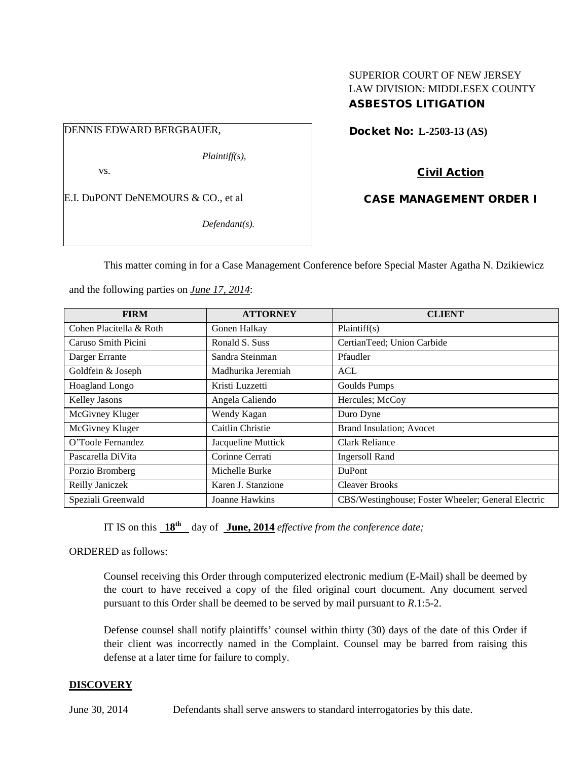# SUPERIOR COURT OF NEW JERSEY LAW DIVISION: MIDDLESEX COUNTY ASBESTOS LITIGATION

# DENNIS EDWARD BERGBAUER,

*Plaintiff(s),*

vs.

E.I. DuPONT DeNEMOURS & CO., et al

*Defendant(s).*

Docket No: **L-2503-13 (AS)** 

Civil Action

CASE MANAGEMENT ORDER I

This matter coming in for a Case Management Conference before Special Master Agatha N. Dzikiewicz

and the following parties on *June 17, 2014*:

| <b>FIRM</b>             | <b>ATTORNEY</b>    | <b>CLIENT</b>                                      |
|-------------------------|--------------------|----------------------------------------------------|
| Cohen Placitella & Roth | Gonen Halkay       | Plaintiff(s)                                       |
| Caruso Smith Picini     | Ronald S. Suss     | CertianTeed; Union Carbide                         |
| Darger Errante          | Sandra Steinman    | Pfaudler                                           |
| Goldfein & Joseph       | Madhurika Jeremiah | ACL                                                |
| Hoagland Longo          | Kristi Luzzetti    | Goulds Pumps                                       |
| Kelley Jasons           | Angela Caliendo    | Hercules; McCoy                                    |
| McGivney Kluger         | Wendy Kagan        | Duro Dyne                                          |
| McGivney Kluger         | Caitlin Christie   | <b>Brand Insulation</b> ; Avocet                   |
| O'Toole Fernandez       | Jacqueline Muttick | Clark Reliance                                     |
| Pascarella DiVita       | Corinne Cerrati    | <b>Ingersoll Rand</b>                              |
| Porzio Bromberg         | Michelle Burke     | DuPont                                             |
| Reilly Janiczek         | Karen J. Stanzione | <b>Cleaver Brooks</b>                              |
| Speziali Greenwald      | Joanne Hawkins     | CBS/Westinghouse; Foster Wheeler; General Electric |

IT IS on this  $18^{th}$  day of June, 2014 *effective from the conference date;* 

ORDERED as follows:

Counsel receiving this Order through computerized electronic medium (E-Mail) shall be deemed by the court to have received a copy of the filed original court document. Any document served pursuant to this Order shall be deemed to be served by mail pursuant to *R*.1:5-2.

Defense counsel shall notify plaintiffs' counsel within thirty (30) days of the date of this Order if their client was incorrectly named in the Complaint. Counsel may be barred from raising this defense at a later time for failure to comply.

# **DISCOVERY**

June 30, 2014 Defendants shall serve answers to standard interrogatories by this date.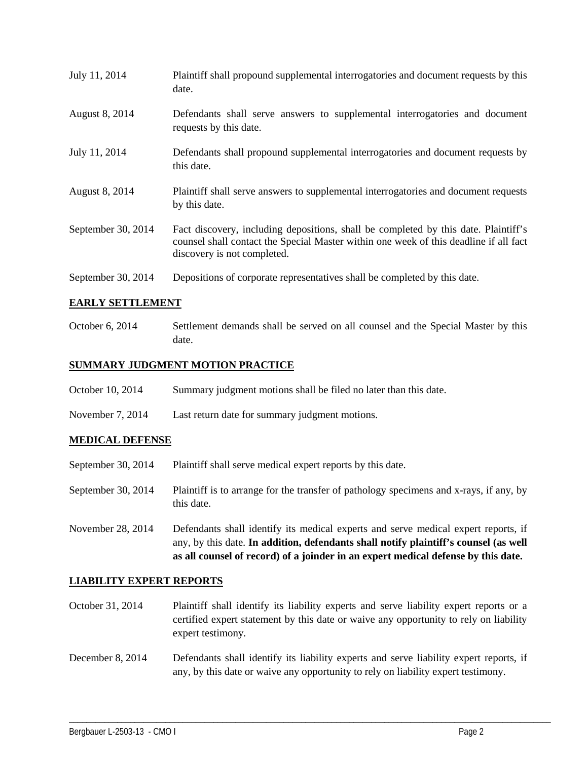| July 11, 2014      | Plaintiff shall propound supplemental interrogatories and document requests by this<br>date.                                                                                                                |  |
|--------------------|-------------------------------------------------------------------------------------------------------------------------------------------------------------------------------------------------------------|--|
| August 8, 2014     | Defendants shall serve answers to supplemental interrogatories and document<br>requests by this date.                                                                                                       |  |
| July 11, 2014      | Defendants shall propound supplemental interrogatories and document requests by<br>this date.                                                                                                               |  |
| August 8, 2014     | Plaintiff shall serve answers to supplemental interrogatories and document requests<br>by this date.                                                                                                        |  |
| September 30, 2014 | Fact discovery, including depositions, shall be completed by this date. Plaintiff's<br>counsel shall contact the Special Master within one week of this deadline if all fact<br>discovery is not completed. |  |
| September 30, 2014 | Depositions of corporate representatives shall be completed by this date.                                                                                                                                   |  |

#### **EARLY SETTLEMENT**

October 6, 2014 Settlement demands shall be served on all counsel and the Special Master by this date.

#### **SUMMARY JUDGMENT MOTION PRACTICE**

- October 10, 2014 Summary judgment motions shall be filed no later than this date.
- November 7, 2014 Last return date for summary judgment motions.

# **MEDICAL DEFENSE**

- September 30, 2014 Plaintiff shall serve medical expert reports by this date.
- September 30, 2014 Plaintiff is to arrange for the transfer of pathology specimens and x-rays, if any, by this date.
- November 28, 2014 Defendants shall identify its medical experts and serve medical expert reports, if any, by this date. **In addition, defendants shall notify plaintiff's counsel (as well as all counsel of record) of a joinder in an expert medical defense by this date.**

#### **LIABILITY EXPERT REPORTS**

October 31, 2014 Plaintiff shall identify its liability experts and serve liability expert reports or a certified expert statement by this date or waive any opportunity to rely on liability expert testimony.

December 8, 2014 Defendants shall identify its liability experts and serve liability expert reports, if any, by this date or waive any opportunity to rely on liability expert testimony.

\_\_\_\_\_\_\_\_\_\_\_\_\_\_\_\_\_\_\_\_\_\_\_\_\_\_\_\_\_\_\_\_\_\_\_\_\_\_\_\_\_\_\_\_\_\_\_\_\_\_\_\_\_\_\_\_\_\_\_\_\_\_\_\_\_\_\_\_\_\_\_\_\_\_\_\_\_\_\_\_\_\_\_\_\_\_\_\_\_\_\_\_\_\_\_\_\_\_\_\_\_\_\_\_\_\_\_\_\_\_